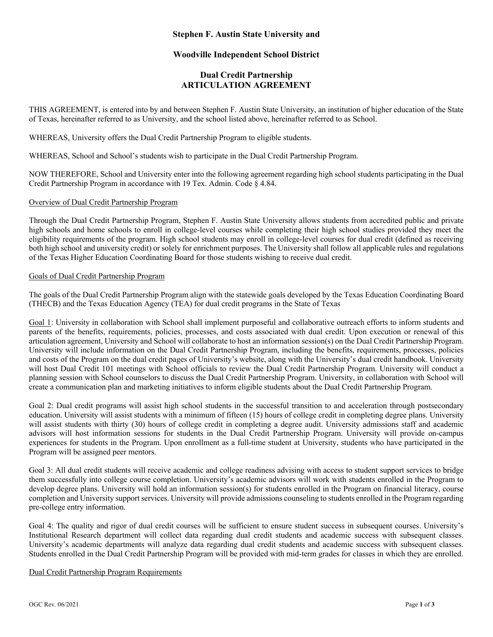## **Stephen F. Austin State University and**

## **Woodville Independent School District**

# **Dual Credit Partnership ARTICULATION AGREEMENT**

THIS AGREEMENT, is entered into by and between Stephen F. Austin State University, an institution of higher education of the State of Texas, hereinafter referred to as University, and the school listed above, hereinafter referred to as School.

WHEREAS, University offers the Dual Credit Partnership Program to eligible students.

WHEREAS, School and School's students wish to participate in the Dual Credit Partnership Program.

NOW THEREFORE, School and University enter into the following agreement regarding high school students participating in the Dual Credit Partnership Program in accordance with 19 Tex. Admin. Code § 4.84.

#### Overview of Dual Credit Partnership Program

Through the Dual Credit Partnership Program, Stephen F. Austin State University allows students from accredited public and private high schools and home schools to enroll in college-level courses while completing their high school studies provided they meet the eligibility requirements of the program. High school students may enroll in college-level courses for dual credit (defined as receiving both high school and university credit) or solely for enrichment purposes. The University shall follow all applicable rules and regulations of the Texas Higher Education Coordinating Board for those students wishing to receive dual credit.

#### Goals of Dual Credit Partnership Program

The goals of the Dual Credit Partnership Program align with the statewide goals developed by the Texas Education Coordinating Board (THECB) and the Texas Education Agency (TEA) for dual credit programs in the State of Texas

Goal 1: University in collaboration with School shall implement purposeful and collaborative outreach efforts to inform students and parents of the benefits, requirements, policies, processes, and costs associated with dual credit. Upon execution or renewal of this articulation agreement, University and School will collaborate to host an information session(s) on the Dual Credit Partnership Program. University will include information on the Dual Credit Partnership Program, including the benefits, requirements, processes, policies and costs of the Program on the dual credit pages of University's website, along with the University's dual credit handbook. University will host Dual Credit 101 meetings with School officials to review the Dual Credit Partnership Program. University will conduct a planning session with School counselors to discuss the Dual Credit Partnership Program. University, in collaboration with School will create a communication plan and marketing initiatives to inform eligible students about the Dual Credit Partnership Program.

Goal 2: Dual credit programs will assist high school students in the successful transition to and acceleration through postsecondary education. University will assist students with a minimum of fifteen (15) hours of college credit in completing degree plans. University will assist students with thirty (30) hours of college credit in completing a degree audit. University admissions staff and academic advisors will host information sessions for students in the Dual Credit Partnership Program. University will provide on-campus experiences for students in the Program. Upon enrollment as a full-time student at University, students who have participated in the Program will be assigned peer mentors.

Goal 3: All dual credit students will receive academic and college readiness advising with access to student support services to bridge them successfully into college course completion. University's academic advisors will work with students enrolled in the Program to develop degree plans. University will hold an information session(s) for students enrolled in the Program on financial literacy, course completion and University support services. University will provide admissions counseling to students enrolled in the Program regarding pre-college entry information.

Goal 4: The quality and rigor of dual credit courses will be sufficient to ensure student success in subsequent courses. University's Institutional Research department will collect data regarding dual credit students and academic success with subsequent classes. University's academic departments will analyze data regarding dual credit students and academic success with subsequent classes. Students enrolled in the Dual Credit Partnership Program will be provided with mid-term grades for classes in which they are enrolled.

### Dual Credit Partnership Program Requirements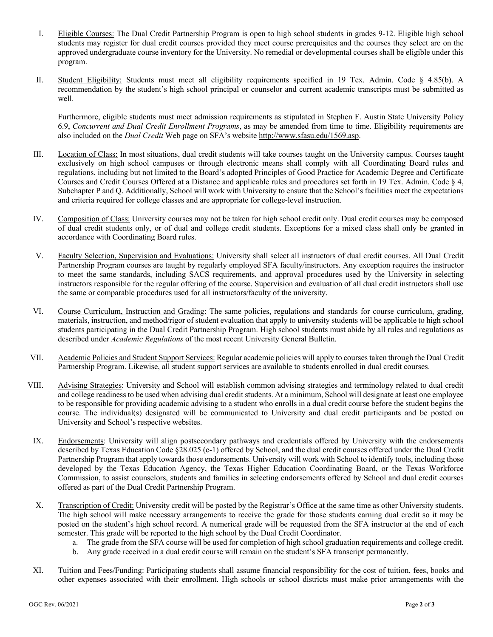- I. Eligible Courses: The Dual Credit Partnership Program is open to high school students in grades 9-12. Eligible high school students may register for dual credit courses provided they meet course prerequisites and the courses they select are on the approved undergraduate course inventory for the University. No remedial or developmental courses shall be eligible under this program.
- II. Student Eligibility: Students must meet all eligibility requirements specified in 19 Tex. Admin. Code § 4.85(b). A recommendation by the student's high school principal or counselor and current academic transcripts must be submitted as well.

Furthermore, eligible students must meet admission requirements as stipulated in Stephen F. Austin State University Policy 6.9, *Concurrent and Dual Credit Enrollment Programs*, as may be amended from time to time. Eligibility requirements are also included on the *Dual Credit* Web page on SFA's website http://www.sfasu.edu/1569.asp.

- III. Location of Class: In most situations, dual credit students will take courses taught on the University campus. Courses taught exclusively on high school campuses or through electronic means shall comply with all Coordinating Board rules and regulations, including but not limited to the Board's adopted Principles of Good Practice for Academic Degree and Certificate Courses and Credit Courses Offered at a Distance and applicable rules and procedures set forth in 19 Tex. Admin. Code § 4, Subchapter P and Q. Additionally, School will work with University to ensure that the School's facilities meet the expectations and criteria required for college classes and are appropriate for college-level instruction.
- IV. Composition of Class: University courses may not be taken for high school credit only. Dual credit courses may be composed of dual credit students only, or of dual and college credit students. Exceptions for a mixed class shall only be granted in accordance with Coordinating Board rules.
- V. Faculty Selection, Supervision and Evaluations: University shall select all instructors of dual credit courses. All Dual Credit Partnership Program courses are taught by regularly employed SFA faculty/instructors. Any exception requires the instructor to meet the same standards, including SACS requirements, and approval procedures used by the University in selecting instructors responsible for the regular offering of the course. Supervision and evaluation of all dual credit instructors shall use the same or comparable procedures used for all instructors/faculty of the university.
- VI. Course Curriculum, Instruction and Grading: The same policies, regulations and standards for course curriculum, grading, materials, instruction, and method/rigor of student evaluation that apply to university students will be applicable to high school students participating in the Dual Credit Partnership Program. High school students must abide by all rules and regulations as described under *Academic Regulations* of the most recent University General Bulletin.
- VII. Academic Policies and Student Support Services: Regular academic policies will apply to courses taken through the Dual Credit Partnership Program. Likewise, all student support services are available to students enrolled in dual credit courses.
- VIII. Advising Strategies: University and School will establish common advising strategies and terminology related to dual credit and college readiness to be used when advising dual credit students. At a minimum, School will designate at least one employee to be responsible for providing academic advising to a student who enrolls in a dual credit course before the student begins the course. The individual(s) designated will be communicated to University and dual credit participants and be posted on University and School's respective websites.
- IX. Endorsements: University will align postsecondary pathways and credentials offered by University with the endorsements described by Texas Education Code §28.025 (c-1) offered by School, and the dual credit courses offered under the Dual Credit Partnership Program that apply towards those endorsements. University will work with School to identify tools, including those developed by the Texas Education Agency, the Texas Higher Education Coordinating Board, or the Texas Workforce Commission, to assist counselors, students and families in selecting endorsements offered by School and dual credit courses offered as part of the Dual Credit Partnership Program.
- X. Transcription of Credit: University credit will be posted by the Registrar's Office at the same time as other University students. The high school will make necessary arrangements to receive the grade for those students earning dual credit so it may be posted on the student's high school record. A numerical grade will be requested from the SFA instructor at the end of each semester. This grade will be reported to the high school by the Dual Credit Coordinator.
	- a. The grade from the SFA course will be used for completion of high school graduation requirements and college credit.
	- b. Any grade received in a dual credit course will remain on the student's SFA transcript permanently.
- XI. Tuition and Fees/Funding: Participating students shall assume financial responsibility for the cost of tuition, fees, books and other expenses associated with their enrollment. High schools or school districts must make prior arrangements with the